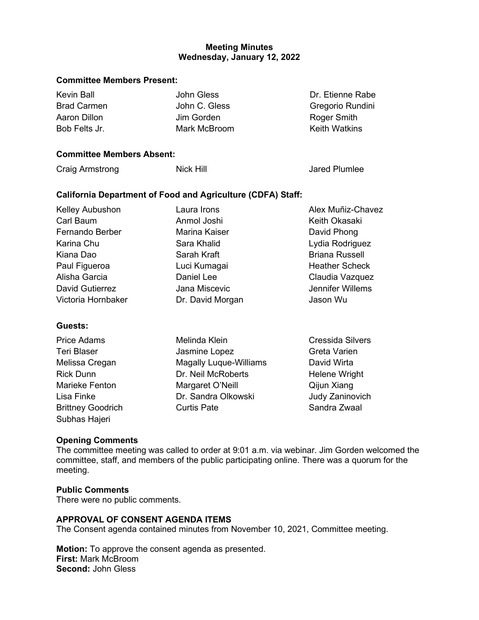### **Wednesday, January 12, 2022 Meeting Minutes**

#### **Committee Members Present:**

| Kevin Ball         | John Gless    | Dr. Etienne Rabe     |
|--------------------|---------------|----------------------|
| <b>Brad Carmen</b> | John C. Gless | Gregorio Rundini     |
| Aaron Dillon       | Jim Gorden    | Roger Smith          |
| Bob Felts Jr.      | Mark McBroom  | <b>Keith Watkins</b> |

### **Committee Members Absent:**

| Nick Hill                                                          | Jared Plumlee     |  |  |  |
|--------------------------------------------------------------------|-------------------|--|--|--|
| <b>California Department of Food and Agriculture (CDFA) Staff:</b> |                   |  |  |  |
| Laura Irons                                                        | Alex Muñiz-Chavez |  |  |  |
| Anmol Joshi                                                        | Keith Okasaki     |  |  |  |
| <b>Marina Kaiser</b>                                               | David Phong       |  |  |  |
| Sara Khalid                                                        | Lydia Rodriguez   |  |  |  |
|                                                                    |                   |  |  |  |

Kiana Dao **Sarah Kraft** Paul Figueroa Luci Kumagai Alisha Garcia Daniel Lee David Gutierrez **Jana Miscevic** Victoria Hornbaker **Dr. David Morgan** Briana Russell Heather Scheck Claudia Vazquez Jennifer Willems Jason Wu

#### **Guests:**

| <b>Price Adams</b>       | Melinda Klein                 | <b>Cressida Silvers</b> |
|--------------------------|-------------------------------|-------------------------|
| <b>Teri Blaser</b>       | Jasmine Lopez                 | Greta Varien            |
| Melissa Cregan           | <b>Magally Luque-Williams</b> | David Wirta             |
| <b>Rick Dunn</b>         | Dr. Neil McRoberts            | Helene Wright           |
| <b>Marieke Fenton</b>    | Margaret O'Neill              | Qijun Xiang             |
| Lisa Finke               | Dr. Sandra Olkowski           | Judy Zaninovich         |
| <b>Brittney Goodrich</b> | <b>Curtis Pate</b>            | Sandra Zwaal            |
| Subhas Hajeri            |                               |                         |

#### **Opening Comments**

 The committee meeting was called to order at 9:01 a.m. via webinar. Jim Gorden welcomed the committee, staff, and members of the public participating online. There was a quorum for the meeting.

#### **Public Comments**

There were no public comments.

### **APPROVAL OF CONSENT AGENDA ITEMS**

The Consent agenda contained minutes from November 10, 2021, Committee meeting.

**Motion:** To approve the consent agenda as presented. **First:** Mark McBroom **Second:** John Gless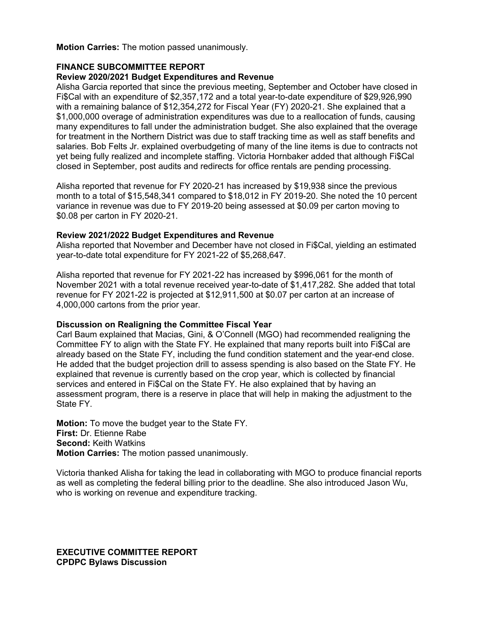**Motion Carries:** The motion passed unanimously.

### **FINANCE SUBCOMMITTEE REPORT**

#### **Review 2020/2021 Budget Expenditures and Revenue**

 with a remaining balance of \$12,354,272 for Fiscal Year (FY) 2020-21. She explained that a Alisha Garcia reported that since the previous meeting, September and October have closed in Fi\$Cal with an expenditure of \$2,357,172 and a total year-to-date expenditure of \$29,926,990 \$1,000,000 overage of administration expenditures was due to a reallocation of funds, causing many expenditures to fall under the administration budget. She also explained that the overage for treatment in the Northern District was due to staff tracking time as well as staff benefits and salaries. Bob Felts Jr. explained overbudgeting of many of the line items is due to contracts not yet being fully realized and incomplete staffing. Victoria Hornbaker added that although Fi\$Cal closed in September, post audits and redirects for office rentals are pending processing.

 month to a total of \$15,548,341 compared to \$18,012 in FY 2019-20. She noted the 10 percent variance in revenue was due to FY 2019-20 being assessed at \$0.09 per carton moving to \$0.08 per carton in FY 2020-21. Alisha reported that revenue for FY 2020-21 has increased by \$19,938 since the previous

#### **Review 2021/2022 Budget Expenditures and Revenue**

Alisha reported that November and December have not closed in Fi\$Cal, yielding an estimated year-to-date total expenditure for FY 2021-22 of \$5,268,647.

 Alisha reported that revenue for FY 2021-22 has increased by \$996,061 for the month of November 2021 with a total revenue received year-to-date of \$1,417,282. She added that total revenue for FY 2021-22 is projected at \$12,911,500 at \$0.07 per carton at an increase of 4,000,000 cartons from the prior year.

### **Discussion on Realigning the Committee Fiscal Year**

 Committee FY to align with the State FY. He explained that many reports built into Fi\$Cal are explained that revenue is currently based on the crop year, which is collected by financial Carl Baum explained that Macias, Gini, & O'Connell (MGO) had recommended realigning the already based on the State FY, including the fund condition statement and the year-end close. He added that the budget projection drill to assess spending is also based on the State FY. He services and entered in Fi\$Cal on the State FY. He also explained that by having an assessment program, there is a reserve in place that will help in making the adjustment to the State FY.

 **Motion:** To move the budget year to the State FY. **First:** Dr. Etienne Rabe **Second:** Keith Watkins **Motion Carries:** The motion passed unanimously.

 Victoria thanked Alisha for taking the lead in collaborating with MGO to produce financial reports as well as completing the federal billing prior to the deadline. She also introduced Jason Wu, who is working on revenue and expenditure tracking.

**EXECUTIVE COMMITTEE REPORT CPDPC Bylaws Discussion**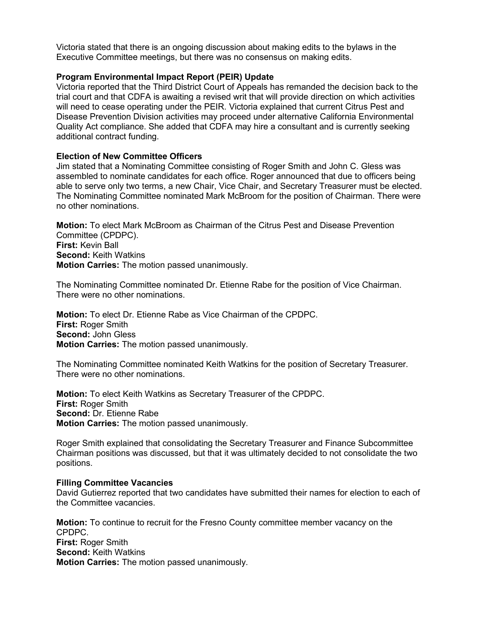Victoria stated that there is an ongoing discussion about making edits to the bylaws in the Executive Committee meetings, but there was no consensus on making edits.

#### **Program Environmental Impact Report (PEIR) Update**

 Victoria reported that the Third District Court of Appeals has remanded the decision back to the trial court and that CDFA is awaiting a revised writ that will provide direction on which activities will need to cease operating under the PEIR. Victoria explained that current Citrus Pest and Disease Prevention Division activities may proceed under alternative California Environmental Quality Act compliance. She added that CDFA may hire a consultant and is currently seeking additional contract funding.

#### **Election of New Committee Officers**

Jim stated that a Nominating Committee consisting of Roger Smith and John C. Gless was assembled to nominate candidates for each office. Roger announced that due to officers being able to serve only two terms, a new Chair, Vice Chair, and Secretary Treasurer must be elected. The Nominating Committee nominated Mark McBroom for the position of Chairman. There were no other nominations.

 **Motion:** To elect Mark McBroom as Chairman of the Citrus Pest and Disease Prevention Committee (CPDPC). **First:** Kevin Ball **Second:** Keith Watkins **Motion Carries:** The motion passed unanimously.

The Nominating Committee nominated Dr. Etienne Rabe for the position of Vice Chairman. There were no other nominations.

**Motion:** To elect Dr. Etienne Rabe as Vice Chairman of the CPDPC. **First:** Roger Smith **Second:** John Gless **Motion Carries:** The motion passed unanimously.

The Nominating Committee nominated Keith Watkins for the position of Secretary Treasurer. There were no other nominations.

**Motion:** To elect Keith Watkins as Secretary Treasurer of the CPDPC. **First:** Roger Smith **Second:** Dr. Etienne Rabe **Motion Carries:** The motion passed unanimously.

Roger Smith explained that consolidating the Secretary Treasurer and Finance Subcommittee Chairman positions was discussed, but that it was ultimately decided to not consolidate the two positions.

#### **Filling Committee Vacancies**

David Gutierrez reported that two candidates have submitted their names for election to each of the Committee vacancies.

**Motion:** To continue to recruit for the Fresno County committee member vacancy on the CPDPC. **First:** Roger Smith **Second:** Keith Watkins **Motion Carries:** The motion passed unanimously.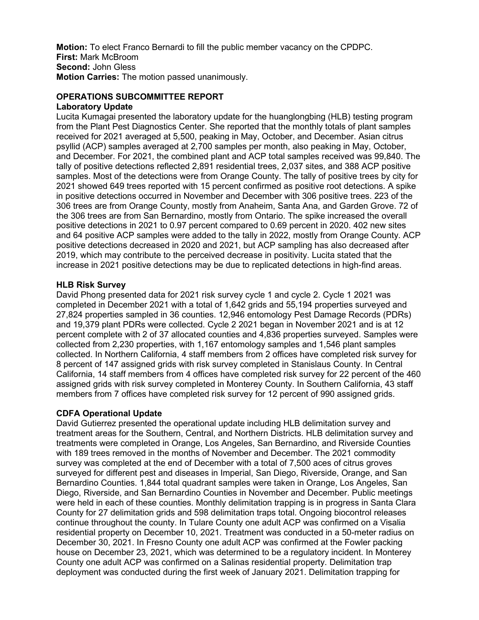**Motion:** To elect Franco Bernardi to fill the public member vacancy on the CPDPC. **First:** Mark McBroom **Second:** John Gless **Motion Carries:** The motion passed unanimously.

#### **OPERATIONS SUBCOMMITTEE REPORT Laboratory Update**

 samples. Most of the detections were from Orange County. The tally of positive trees by city for 2021 showed 649 trees reported with 15 percent confirmed as positive root detections. A spike positive detections in 2021 to 0.97 percent compared to 0.69 percent in 2020. 402 new sites and 64 positive ACP samples were added to the tally in 2022, mostly from Orange County. ACP 2019, which may contribute to the perceived decrease in positivity. Lucita stated that the increase in 2021 positive detections may be due to replicated detections in high-find areas. Lucita Kumagai presented the laboratory update for the huanglongbing (HLB) testing program from the Plant Pest Diagnostics Center. She reported that the monthly totals of plant samples received for 2021 averaged at 5,500, peaking in May, October, and December. Asian citrus psyllid (ACP) samples averaged at 2,700 samples per month, also peaking in May, October, and December. For 2021, the combined plant and ACP total samples received was 99,840. The tally of positive detections reflected 2,891 residential trees, 2,037 sites, and 388 ACP positive in positive detections occurred in November and December with 306 positive trees. 223 of the 306 trees are from Orange County, mostly from Anaheim, Santa Ana, and Garden Grove. 72 of the 306 trees are from San Bernardino, mostly from Ontario. The spike increased the overall positive detections decreased in 2020 and 2021, but ACP sampling has also decreased after

### **HLB Risk Survey**

 David Phong presented data for 2021 risk survey cycle 1 and cycle 2. Cycle 1 2021 was percent complete with 2 of 37 allocated counties and 4,836 properties surveyed. Samples were collected. In Northern California, 4 staff members from 2 offices have completed risk survey for 8 percent of 147 assigned grids with risk survey completed in Stanislaus County. In Central California, 14 staff members from 4 offices have completed risk survey for 22 percent of the 460 assigned grids with risk survey completed in Monterey County. In Southern California, 43 staff members from 7 offices have completed risk survey for 12 percent of 990 assigned grids. completed in December 2021 with a total of 1,642 grids and 55,194 properties surveyed and 27,824 properties sampled in 36 counties. 12,946 entomology Pest Damage Records (PDRs) and 19,379 plant PDRs were collected. Cycle 2 2021 began in November 2021 and is at 12 collected from 2,230 properties, with 1,167 entomology samples and 1,546 plant samples

#### **CDFA Operational Update**

 treatment areas for the Southern, Central, and Northern Districts. HLB delimitation survey and County for 27 delimitation grids and 598 delimitation traps total. Ongoing biocontrol releases residential property on December 10, 2021. Treatment was conducted in a 50-meter radius on deployment was conducted during the first week of January 2021. Delimitation trapping for David Gutierrez presented the operational update including HLB delimitation survey and treatments were completed in Orange, Los Angeles, San Bernardino, and Riverside Counties with 189 trees removed in the months of November and December. The 2021 commodity survey was completed at the end of December with a total of 7,500 aces of citrus groves surveyed for different pest and diseases in Imperial, San Diego, Riverside, Orange, and San Bernardino Counties. 1,844 total quadrant samples were taken in Orange, Los Angeles, San Diego, Riverside, and San Bernardino Counties in November and December. Public meetings were held in each of these counties. Monthly delimitation trapping is in progress in Santa Clara continue throughout the county. In Tulare County one adult ACP was confirmed on a Visalia December 30, 2021. In Fresno County one adult ACP was confirmed at the Fowler packing house on December 23, 2021, which was determined to be a regulatory incident. In Monterey County one adult ACP was confirmed on a Salinas residential property. Delimitation trap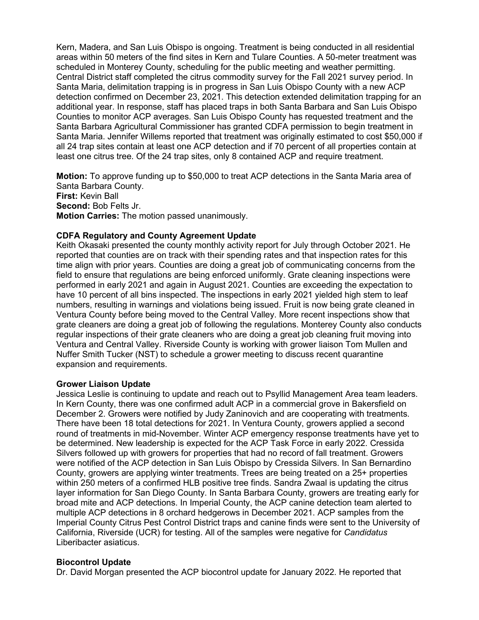Kern, Madera, and San Luis Obispo is ongoing. Treatment is being conducted in all residential areas within 50 meters of the find sites in Kern and Tulare Counties. A 50-meter treatment was Santa Maria. Jennifer Willems reported that treatment was originally estimated to cost \$50,000 if all 24 trap sites contain at least one ACP detection and if 70 percent of all properties contain at scheduled in Monterey County, scheduling for the public meeting and weather permitting. Central District staff completed the citrus commodity survey for the Fall 2021 survey period. In Santa Maria, delimitation trapping is in progress in San Luis Obispo County with a new ACP detection confirmed on December 23, 2021. This detection extended delimitation trapping for an additional year. In response, staff has placed traps in both Santa Barbara and San Luis Obispo Counties to monitor ACP averages. San Luis Obispo County has requested treatment and the Santa Barbara Agricultural Commissioner has granted CDFA permission to begin treatment in least one citrus tree. Of the 24 trap sites, only 8 contained ACP and require treatment.

**Motion:** To approve funding up to \$50,000 to treat ACP detections in the Santa Maria area of Santa Barbara County. **First:** Kevin Ball **Second:** Bob Felts Jr. **Motion Carries:** The motion passed unanimously.

### **CDFA Regulatory and County Agreement Update**

 Keith Okasaki presented the county monthly activity report for July through October 2021. He reported that counties are on track with their spending rates and that inspection rates for this field to ensure that regulations are being enforced uniformly. Grate cleaning inspections were have 10 percent of all bins inspected. The inspections in early 2021 yielded high stem to leaf regular inspections of their grate cleaners who are doing a great job cleaning fruit moving into Nuffer Smith Tucker (NST) to schedule a grower meeting to discuss recent quarantine time align with prior years. Counties are doing a great job of communicating concerns from the performed in early 2021 and again in August 2021. Counties are exceeding the expectation to numbers, resulting in warnings and violations being issued. Fruit is now being grate cleaned in Ventura County before being moved to the Central Valley. More recent inspections show that grate cleaners are doing a great job of following the regulations. Monterey County also conducts Ventura and Central Valley. Riverside County is working with grower liaison Tom Mullen and expansion and requirements.

#### **Grower Liaison Update**

 Silvers followed up with growers for properties that had no record of fall treatment. Growers County, growers are applying winter treatments. Trees are being treated on a 25+ properties layer information for San Diego County. In Santa Barbara County, growers are treating early for Jessica Leslie is continuing to update and reach out to Psyllid Management Area team leaders. In Kern County, there was one confirmed adult ACP in a commercial grove in Bakersfield on December 2. Growers were notified by Judy Zaninovich and are cooperating with treatments. There have been 18 total detections for 2021. In Ventura County, growers applied a second round of treatments in mid-November. Winter ACP emergency response treatments have yet to be determined. New leadership is expected for the ACP Task Force in early 2022. Cressida were notified of the ACP detection in San Luis Obispo by Cressida Silvers. In San Bernardino within 250 meters of a confirmed HLB positive tree finds. Sandra Zwaal is updating the citrus broad mite and ACP detections. In Imperial County, the ACP canine detection team alerted to multiple ACP detections in 8 orchard hedgerows in December 2021. ACP samples from the Imperial County Citrus Pest Control District traps and canine finds were sent to the University of California, Riverside (UCR) for testing. All of the samples were negative for *Candidatus* Liberibacter asiaticus.

#### **Biocontrol Update**

Dr. David Morgan presented the ACP biocontrol update for January 2022. He reported that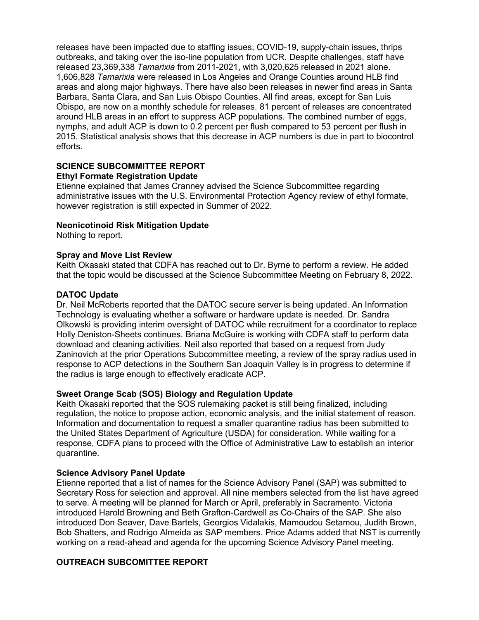outbreaks, and taking over the iso-line population from UCR. Despite challenges, staff have released 23,369,338 *Tamarixia* from 2011-2021, with 3,020,625 released in 2021 alone. Obispo, are now on a monthly schedule for releases. 81 percent of releases are concentrated nymphs, and adult ACP is down to 0.2 percent per flush compared to 53 percent per flush in releases have been impacted due to staffing issues, COVID-19, supply-chain issues, thrips 1,606,828 *Tamarixia* were released in Los Angeles and Orange Counties around HLB find areas and along major highways. There have also been releases in newer find areas in Santa Barbara, Santa Clara, and San Luis Obispo Counties. All find areas, except for San Luis around HLB areas in an effort to suppress ACP populations. The combined number of eggs, 2015. Statistical analysis shows that this decrease in ACP numbers is due in part to biocontrol efforts.

#### **SCIENCE SUBCOMMITTEE REPORT Ethyl Formate Registration Update**

 administrative issues with the U.S. Environmental Protection Agency review of ethyl formate, Etienne explained that James Cranney advised the Science Subcommittee regarding however registration is still expected in Summer of 2022.

### **Neonicotinoid Risk Mitigation Update**

Nothing to report.

### **Spray and Move List Review**

 Keith Okasaki stated that CDFA has reached out to Dr. Byrne to perform a review. He added that the topic would be discussed at the Science Subcommittee Meeting on February 8, 2022.

### **DATOC Update**

 Dr. Neil McRoberts reported that the DATOC secure server is being updated. An Information download and cleaning activities. Neil also reported that based on a request from Judy Zaninovich at the prior Operations Subcommittee meeting, a review of the spray radius used in the radius is large enough to effectively eradicate ACP. Technology is evaluating whether a software or hardware update is needed. Dr. Sandra Olkowski is providing interim oversight of DATOC while recruitment for a coordinator to replace Holly Deniston-Sheets continues. Briana McGuire is working with CDFA staff to perform data response to ACP detections in the Southern San Joaquin Valley is in progress to determine if

### **Sweet Orange Scab (SOS) Biology and Regulation Update**

 regulation, the notice to propose action, economic analysis, and the initial statement of reason. the United States Department of Agriculture (USDA) for consideration. While waiting for a Keith Okasaki reported that the SOS rulemaking packet is still being finalized, including Information and documentation to request a smaller quarantine radius has been submitted to response, CDFA plans to proceed with the Office of Administrative Law to establish an interior quarantine.

### **Science Advisory Panel Update**

 Etienne reported that a list of names for the Science Advisory Panel (SAP) was submitted to Secretary Ross for selection and approval. All nine members selected from the list have agreed to serve. A meeting will be planned for March or April, preferably in Sacramento. Victoria introduced Harold Browning and Beth Grafton-Cardwell as Co-Chairs of the SAP. She also introduced Don Seaver, Dave Bartels, Georgios Vidalakis, Mamoudou Setamou, Judith Brown, Bob Shatters, and Rodrigo Almeida as SAP members. Price Adams added that NST is currently working on a read-ahead and agenda for the upcoming Science Advisory Panel meeting.

# **OUTREACH SUBCOMITTEE REPORT**